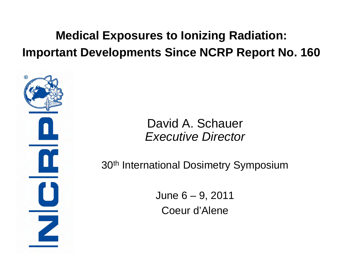#### **Medical Exposures to Ionizing Radiation: Important Developments Since NCRP Report No. 160**

#### David A. Schauer *Executive Director*

30th International Dosimetry Symposium

June 6 – 9, 2011 Coeur d'Alene

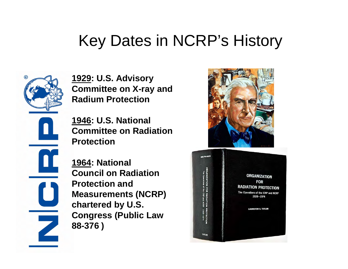### Key Dates in NCRP's History



**1929: U.S. Advisory Committee on X-ray and Radium Protection**

**1946: U.S. National Committee on Radiation Protection**

**1964: National Council on Radiation Protection and Measurements (NCRP) chartered by U.S. Congress (Public Law 88-376 )**



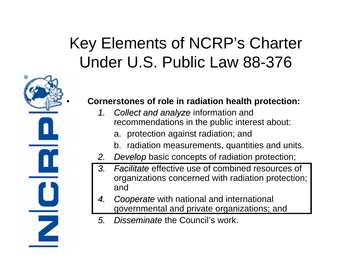# Key Elements of NCRP's Charter Under U.S. Public Law 88-376

# $\mathbf{u}$ Z

#### • **Cornerstones of role in radiation health protection:**

- 1. Collect and analyze information and recommendations in the public interest about:
	- a. protection against radiation; and
	- b. radiation measurements, quantities and units.
- *2.Develop Develop* basic concepts of radiation protection;
- 3. Facilitate effective use of combined resources of organizations concerned with radiation protection; and
- 4. Cooperate with national and international governmental and private organizations; and
- 5. Disseminate the Council's work.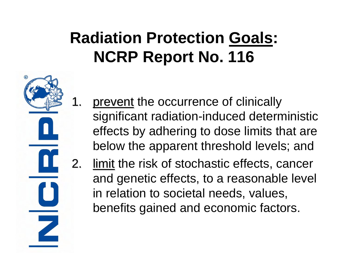# **Radiation Protection Goals : NCRP Report No. 116**

1. prevent the occurrence of clinically significant radiation-induced deterministic effects by adhering to dose limits that are below the apparent threshold levels; and limit the risk of stochastic effects, cancer and genetic effects, to a reasonable level in relation to societal needs, values,

 $\overline{\phantom{0}}$ 

benefits gained and economic factors.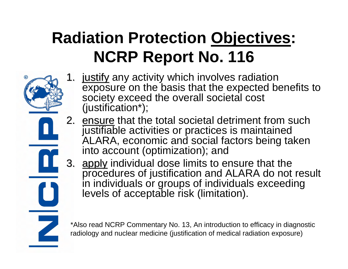# **Radiation Protection Objectives : NCRP Report No. 116**

- 
- 1. justify any activity which involves radiation exposure on the basis that the expected benefits to society exceed the overall societal cost (justification\*);
	- 2. ensure that the total societal detriment from such justifiable activities or practices is maintained ALARA, economic and social factors being taken into account (optimization); and
	- apply individual dose limits to ensure that the procedures of justification and ALARA do not result in individuals or groups of individuals exceeding levels of acceptable risk (limitation).

\*Also read NCRP Commentary No. 13, An introduction to efficacy in diagnostic radiology and nuclear medicine (justification of medical radiation exposure)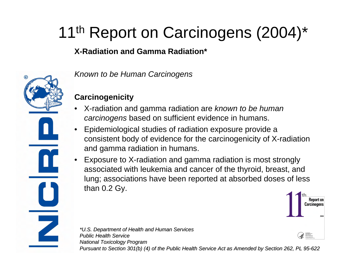# 11<sup>th</sup> Report on Carcinogens (2004)\*

#### **X-Radiation and Gamma Radiation\***



*Known to be Human Carcinogens*

#### **Carcinogenicity**

- X-radiation and gamma radiation are *known to be human carcinogens* based on sufficient evidence in humans.
- Epidemiological studies of radiation exposure provide a consistent body of evidence for the carcinogenicity of X-radiation and gamma radiation in humans.
- Exposure to X-radiation and gamma radiation is most strongly associated with leukemia and cancer of the thyroid, breast, and lung; associations have been reported at absorbed doses of less than 0.2 Gy.



*\*U.S. Depart \*U.S. Department of Health and Human Services ment and Human Services Public Health Service Public Health ServiceNational Toxicol National Toxicology Program ogy Program Pursuant to Section 30 ant Section 301(b) (4) of 1(b) (4) of the Public H the Public Health Service Act ealth Service Act as Amended by Section 262, PL 95 ended by Section 262, PL 95-622*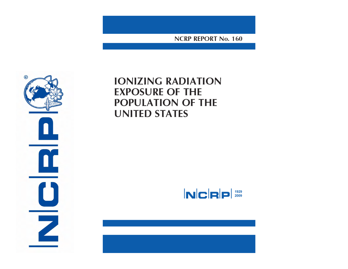NCRP REPORT No. 160



#### **IONIZING RADIATION EXPOSURE OF THE** POPULATION OF THE **UNITED STATES**

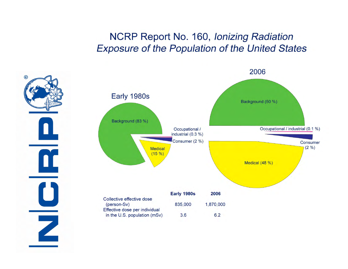#### NCRP Report No. 160, Ionizing Radiation **Exposure of the Population of the United States**

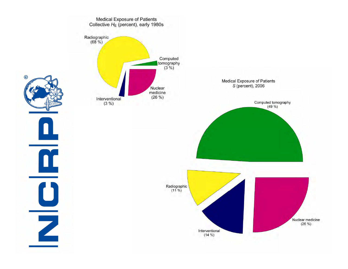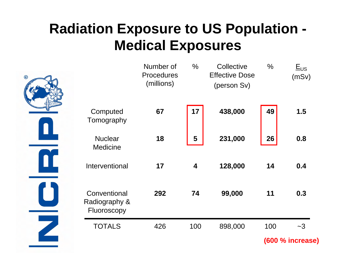#### **Radiation Exposure to US Population - Medical Exposures**



|                                              | Number of<br><b>Procedures</b><br>(millions) | $\frac{0}{0}$ | Collective<br><b>Effective Dose</b><br>(person Sv) | $\frac{0}{0}$ | $E_{US}$<br>(mSv) |
|----------------------------------------------|----------------------------------------------|---------------|----------------------------------------------------|---------------|-------------------|
| Computed<br>Tomography                       | 67                                           | 17            | 438,000                                            | 49            | 1.5               |
| <b>Nuclear</b><br><b>Medicine</b>            | 18                                           | 5             | 231,000                                            | 26            | 0.8               |
| Interventional                               | 17                                           | 4             | 128,000                                            | 14            | 0.4               |
| Conventional<br>Radiography &<br>Fluoroscopy | 292                                          | 74            | 99,000                                             | 11            | 0.3               |
| <b>TOTALS</b>                                | 426                                          | 100           | 898,000                                            | 100           | $-3$              |

**(600 % increase)**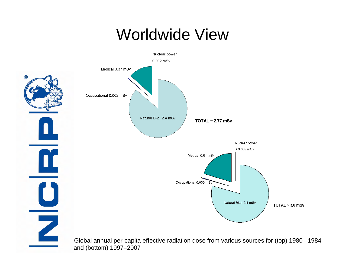#### Worldwide View



and (bottom) 1997–2007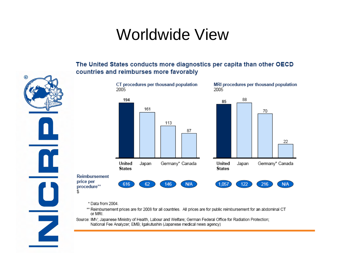#### **Worldwide View**

The United States conducts more diagnostics per capita than other OECD countries and reimburses more favorably CT procedures per thousand population MRI procedures per thousand population 2005 2005 194 88 85 161 70 113 87 22 United Germany\* Canada United Germany\* Canada Japan Japan **States States Reimbursement** price per 616 146 **N/A** 122 **N/A** 62 1.057 216 procedure\*\* \$

\* Data from 2004.

ଢ

Z

- \*\* Reimbursement prices are for 2008 for all countries. All prices are for public reimbursement for an abdominal CT or MRI.
- Source: IMV; Japanese Ministry of Health, Labour and Welfare; German Federal Office for Radiation Protection; National Fee Analyzer; EMB; Igakutushin (Japanese medical news agency)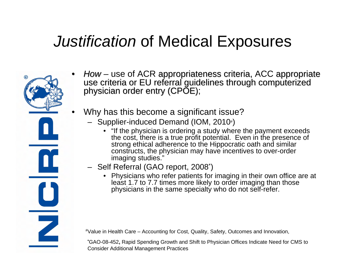

- How use of ACR appropriateness criteria, ACC appropriate<br>use criteria or EU referral guidelines through computerized<br>physician order entry (CPOE);
- Why has this become a significant issue?
	- Supplier-induced Demand (IOM, 2010<sup>#</sup>)
		- "If the physician is ordering a study where the payment exceeds the cost, there is a true profit potential. Even in the presence of strong ethical adherence to the Hippocratic oath and similar constructs, the physician may have incentives to over-order imaging studies."
	- Self Referral (GAO report, 2008\*)
		- Physicians who refer patients for imaging in their own office are at least 1.7 to 7.7 times more likely to order imaging than those physicians in the same specialty who do not self-refer.

#Value in Health Care – Accounting for Cost, Quality, Safety, Outcomes and Innovation,

**\***GAO-08-452**,** Rapid Spending Growth and Shift to Physician Offices Indicate Need for CMS to Consider Additional Management Practices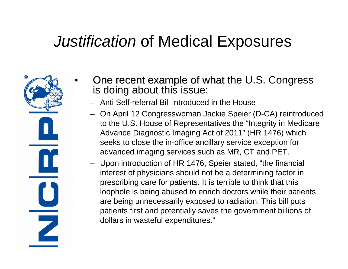Z

- One recent example of what the U.S. Congress is doing about this issue:
	- Anti Self-referral Bill introduced in the House
	- On April 12 Congresswoman Jackie Speier (D-CA) reintroduced to the U.S. House of Representatives the "Integrity in Medicare Advance Diagnostic Imaging Act of 2011" (HR 1476) which seeks to close the in-office ancillary service exception for advanced imaging services such as MR, CT and PET.
	- Upon introduction of HR 1476, Speier stated, "the financial interest of physicians should not be a determining factor in prescribing care for patients. It is terrible to think that this loophole is being abused to enrich doctors while their patients are being unnecessarily exposed to radiation. This bill puts patients first and potentially saves the government billions of dollars in wasteful expenditures."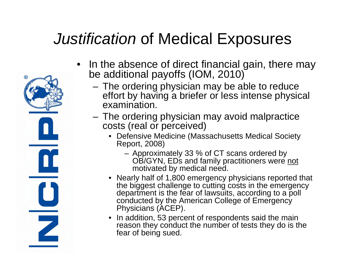

- In the absence of direct financial gain, there may be additional payoffs (IOM, 2010)
	- The ordering physician may be able to reduce effort by having a briefer or less intense physical examination.
	- The ordering physician may avoid malpractice costs (real or perceived)
		- Defensive Medicine (Massachusetts Medical Society Report, 2008)
			- Approximately 33 % of CT scans ordered by OB/GYN, EDs and family practitioners were not motivated by medical need.
		- Nearly half of 1,800 emergency physicians reported that the biggest challenge to cutting costs in the emergency department is the fear of lawsuits, according to a poll conducted by the American College of Emergency Physicians (ACEP).
		- In addition, 53 percent of respondents said the main reason they conduct the number of tests they do is the fear of being sued.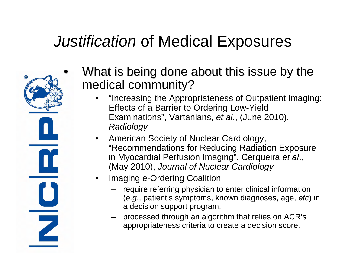

- What is being done about this issue by the medical community?
	- "Increasing the Appropriateness of Outpatient Imaging: Effects of a Barrier to Ordering Low-Yield Examinations", Vartanians, *et al*., (June 2010), *Radiology*
	- American Society of Nuclear Cardiology, "Recommendations for Reducing Radiation Exposure in Myocardial Perfusion Imaging", Cerqueira *et al*., (May 2010), *Journal of Nuclear Cardiology*
	- Imaging e-Ordering Coalition
		- require referring physician to enter clinical information (*e.g*., patient's symptoms, known diagnoses, age, *etc*) in a decision support program.
		- processed through an algorithm that relies on ACR's appropriateness criteria to create a decision score.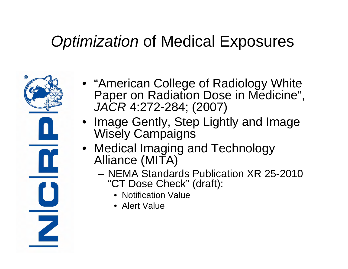# *Optimization* of Medical Exposures



- "American College of Radiology White Paper on Radiation Dose in Medicine", *JACR* 4:272-284; (2007)
- Image Gently, Step Lightly and Image Wisely Campaigns
- Medical Imaging and Technology Alliance (MITA)
	- NEMA Standards Publication XR 25-2010 "CT Dose Check" (draft):
		- Notification Value
		- Alert Value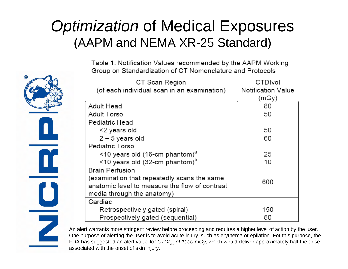#### *Optimization* of Medical Exposures (AAPM and NEMA XR-25 Standard)

Table 1: Notification Values recommended by the AAPM Working Group on Standardization of CT Nomenclature and Protocols

| CT Scan Region                                  | CTDIvol                   |  |
|-------------------------------------------------|---------------------------|--|
| (of each individual scan in an examination)     | <b>Notification Value</b> |  |
|                                                 | (mGy)                     |  |
| Adult Head                                      | 80                        |  |
| <b>Adult Torso</b>                              | 50                        |  |
| Pediatric Head                                  |                           |  |
| <2 years old                                    | 50                        |  |
| $2 - 5$ years old                               | 60                        |  |
| <b>Pediatric Torso</b>                          |                           |  |
| $\le$ 10 years old (16-cm phantom) <sup>a</sup> | 25                        |  |
| <10 years old (32-cm phantom) <sup>b</sup>      | 10                        |  |
| <b>Brain Perfusion</b>                          |                           |  |
| (examination that repeatedly scans the same     |                           |  |
| anatomic level to measure the flow of contrast  | 600                       |  |
| media through the anatomy)                      |                           |  |
| Cardiac                                         |                           |  |
| Retrospectively gated (spiral)                  | 150                       |  |
| Prospectively gated (sequential)                | 50                        |  |

An alert warrants more stringent review before proceeding and requires a higher level of action by the user. One purpose of alerting the user is to avoid acute injury, such as erythema or epilation. For this purpose, the FDA has suggested an alert value for *CTDIvol of 1000 mGy,* which would deliver approximately half the dose associated with the onset of skin injury.

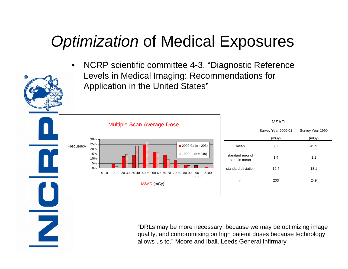### *Optimization* of Medical Exposures

• NCRP scientific committee 4-3, "Diagnostic Reference Levels in Medical Imaging: Recommendations for Application in the United States"



Z

|                                  | <b>MSAD</b>         |                  |
|----------------------------------|---------------------|------------------|
|                                  | Survey Year 2000-01 | Survey Year 1990 |
|                                  | (mGy)               | (mGy)            |
| mean                             | 50.3                | 45.9             |
| standard error of<br>sample mean | 1.4                 | 1.1              |
| standard deviation               | 19.4                | 18.1             |
| n                                | 203                 | 249              |
|                                  |                     |                  |

"DRLs may be more necessary, because we may be optimizing image quality, and compromising on high patient doses because technology allows us to." Moore and Iball, Leeds General Infirmary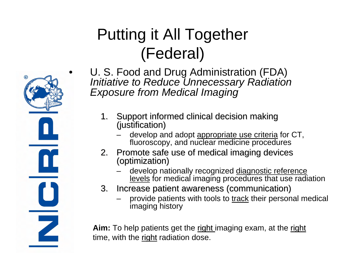# Putting it All Together (Federal)

- $\mathbf{a}$ Z
- U. S. Food and Drug Administration (FDA) *Initiative to Reduce Unnecessary Radiation Exposure from Medical Imaging*
	- 1. Support informed clinical decision making (justification)
		- develop and adopt **appropriate use criteria** for CT, fluoroscopy, and nuclear medicine procedures
	- 2. Promote safe use of medical imaging devices (optimization)
		- develop nationally recognized diagnostic reference levels for medical imaging procedures that use radiation
	- 3. Increase patient awareness (communication)
		- provide patients with tools to track their personal medical imaging history

**Aim:** To help patients get the right imaging exam, at the right time, with the right radiation dose.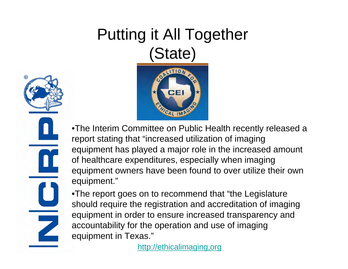# Putting it All Together (State)





•The Interim Committee on Public Health recently released a report stating that "increased utilization of imaging equipment has played a major role in the increased amount of healthcare expenditures, especially when imaging equipment owners have been found to over utilize their own equipment."

•The report goes on to recommend that "the Legislature should require the registration and accreditation of imaging equipment in order to ensure increased transparency and accountability for the operation and use of imaging equipment in Texas."

[http://ethicalimaging,org](http://ethicalimaging,org/)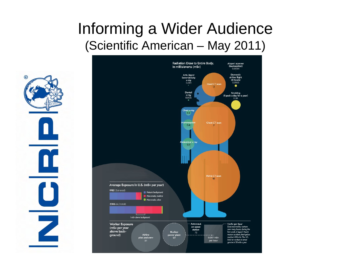#### Informing a Wider Audience (Scientific American – May 2011)



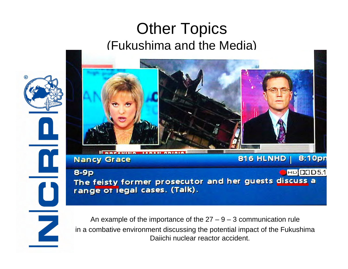#### Other Topics (Fukushima and the Media)



An example of the importance of the  $27 - 9 - 3$  communication rule in a combative environment discussing the potential impact of the Fukushima Daiichi nuclear reactor accident.

 $\mathbf C$ 

Z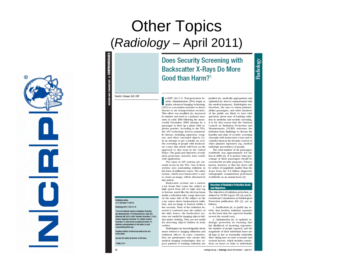#### **Other Topics** (Radiology - April 2011)

Z

#### **Does Security Screening with Backscatter X-Rays Do More** Good than Harm?<sup>1</sup>

# Radiology

#### David A. Schauer, ScD. CHP

**CONTRO** 

٠

**IEVIEWS AND COM MENTARY** 

curity Administration (TSA) began to deploy advanced imaging technology (AIT) as a secondary measure to detect threats to air transportation security. This effort was modified (ie, increased in number and used as a primary measure) in early 2010 following the unsuccessful December 2009 attempt by a passenger to blow up a plane with explosive powder. According to the TSA, the AIT technology detects nonmetallic threats, including explosives, weapons, and other concealed objects (1). In an attempt to get a handle on security screening of people with backscatter x-rays, this article will focus on the approach to this issue in the United States. The goals and objectives of radiation protection, however, have worldwide application.

n 2007, the U.S. Transportation Se-

Two types of AIT systems are currently in use by the TSA. One of these systems uses nonionizing radiation in the form of millimeter waves. The other system, which uses backscatter x-rays to create an image, will be discussed in this article.

Backscatter systems use a narrow x-ray beam that scans the subject at high speed from left to right and top to bottom, much like the electron beam inside a television tube. Large detectors on the same side of the subject as the x-ray source detect backscattered radiation, and an image is formed within a few seconds. Most of the radiation detected is scattered near the surface of the skin; hence, the backscatter systems are useful for imaging objects hidden under clothing. They are not useful for detecting objects hidden in body cavities

Radiologists are knowledgeable about issues related to imaging utilization and radiation effects. In some countries, they are gatekeepers who ensure that medical imaging technologies that ex- societal factors, which includes restricpose patients to ionizing radiation are

optimized (ie, dose is commensurate with the medical purpose). Radiologists are, therefore, the ones to whom patients, airline passengers, and other members of the public are likely to turn with questions about uses of ionizing radiation in medicine and security screening. It is for this reason that the National Council on Radiation Protection and Measurements (NCRP) welcomes the invitation from Radiology to discuss the benefits and risks of security screening of people with backscatter x-rays and to consider them in the broader context of other planned exposures (eg, medical radiologic procedures) of people.

justified (ie, medically appropriate) and

The total number of air passengers worldwide was approximately 4.8 billion in 2009 (2). It is unclear what percentage of these passengers should be screened for security purposes. What is known, however, is that the doses will be orders of magnitude smaller than the doses from the 3.6 billion diagnostic radiographic examinations performed worldwide on an annual basis (3).

#### **Overview of Radiation Protection Goals** and Objectives

The objectives of radiation protection, as defined in NCRP report 116 (4) and International Commission on Radiological Protection publication 103 (5), are as follows:

1. Justification (ie, to justify any activity that involves radiation exposure on the basis that the expected benefits exceed the overall cost),

2. Optimization (ie, to optimize radiologic protection by ensuring that the likelihood of incurring exposures. the number of people exposed, and the magnitude of their individual doses are all kept as low as reasonably achievable after taking into account economic and tions on doses or risks to individuals

#### Published online 10.1148/radiol.11102376

From the National Council on Radiation Protection and Measurements, 7910 Woodmont Ave. Suite 400. Bethesda, MD 20814-3095, Received December 2, 2010; revision requested December 10; revision received December 15: final version accepted December 19. Address correspondence to the author (e-mail:

Potential conflicts of interest are listed at the end of this article.

See also the article by Brenner in this issue.

 $12$ 

Radiology 2011; 259:12-16

scheuer@noportine.org\

RSNA, 2011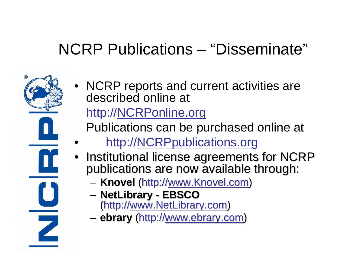#### NCRP Publications – "Disseminate"

• NCRP reports and current activities are described online at http://NCRPonline.org

Publications can be purchased online at

- http://NCRPpublications.org
- Institutional license agreements for NCRP<br>publications are now available through:
	- **Knovel** (http://<u>www.Knovel.com</u>)
	- –**NetLibrary NetLibrary - EBSCO**

 $\mathbf{u}$ 

- (http://<u>www.NetLibrary.com</u>)
- **ebrary** (http://<u>www.ebrary.com</u>)